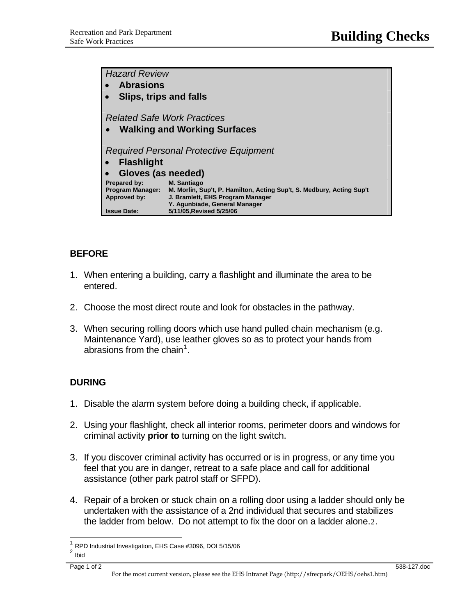| <b>Hazard Review</b>                   |                                                                       |
|----------------------------------------|-----------------------------------------------------------------------|
| <b>Abrasions</b>                       |                                                                       |
| Slips, trips and falls                 |                                                                       |
|                                        |                                                                       |
| <b>Related Safe Work Practices</b>     |                                                                       |
| <b>Walking and Working Surfaces</b>    |                                                                       |
|                                        |                                                                       |
| Required Personal Protective Equipment |                                                                       |
| <b>Flashlight</b>                      |                                                                       |
| Gloves (as needed)                     |                                                                       |
| Prepared by:                           | <b>M. Santiago</b>                                                    |
| <b>Program Manager:</b>                | M. Morlin, Sup't, P. Hamilton, Acting Sup't, S. Medbury, Acting Sup't |
| Approved by:                           | J. Bramlett, EHS Program Manager<br>Y. Agunbiade, General Manager     |
| <b>Issue Date:</b>                     | 5/11/05, Revised 5/25/06                                              |

## **BEFORE**

- 1. When entering a building, carry a flashlight and illuminate the area to be entered.
- 2. Choose the most direct route and look for obstacles in the pathway.
- 3. When securing rolling doors which use hand pulled chain mechanism (e.g. Maintenance Yard), use leather gloves so as to protect your hands from abrasions from the chain<sup>[1](#page-0-0)</sup>.

## **DURING**

- 1. Disable the alarm system before doing a building check, if applicable.
- 2. Using your flashlight, check all interior rooms, perimeter doors and windows for criminal activity **prior to** turning on the light switch.
- 3. If you discover criminal activity has occurred or is in progress, or any time you feel that you are in danger, retreat to a safe place and call for additional assistance (other park patrol staff or SFPD).
- 4. Repair of a broken or stuck chain on a rolling door using a ladder should only be undertaken with the assistance of a 2nd individual that secures and stabilizes the ladder from below. Do not attempt to fix the door on a ladder alone.[2](#page-0-1).

 $\overline{\phantom{a}}$ 

<span id="page-0-0"></span> $\frac{1}{2}$  RPD Industrial Investigation, EHS Case #3096, DOI 5/15/06

<span id="page-0-1"></span>**Ibid**